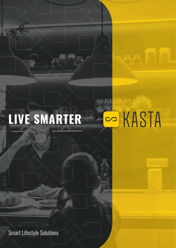## S KASTA **LIVE SMARTER**

Smart Lifestyle Solutions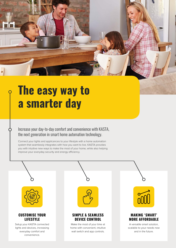

# **The easy way to a smarter day**

### Increase your day-to-day comfort and convenience with KASTA, the next generation in smart home automation technology.

Connect your lights and applicances to your lifestyle with a home automation system that seamlessly integrates with how you want to live. KASTA provides you with intuitive new ways to make the most of your home, while also helping improve your everyday security and energy efficiency.

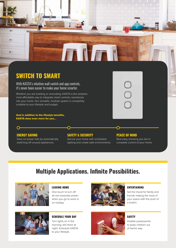## **SWITCH TO SMART**

**KD** 

With KASTA's intuitive wall switch and app controls, it's never been easier to make your home smarter.

Whether you are building or renovating, KASTA is the simplest, most affordable way to integrate smart controls, seamlessly into your home. Our versatile, modular system is completely scalable to your lifestyle and budget.

And in addition to the lifestyle benefits, KASTA does even more for you...

#### **ENERGY SAVING**

 $\Omega$ 

Save on power bills by automatically switching off unused appliances.

#### **SAFETY & SECURITY**

Secure your home with scheduled lighting and create safe environments.

**TIMA** 

#### **PEACE OF MIND**

Rest easy, knowing you are in complete control of your home.

### **Multiple Applications. Infinite Possibilities.**



#### **LEAVING HOME**

One touch to turn off all non-essential power when you go to work or on holiday.



#### **ENTERTAINING**

Set the mood for family and friends making the most of your space with the push of a button.



#### **SCHEDULE YOUR DAY**

Turn lights on in the morning; dim them at night. Schedule KASTA to your lifestyle.



**SAFETY** Disable powerpoints

to keep children out of harms way.